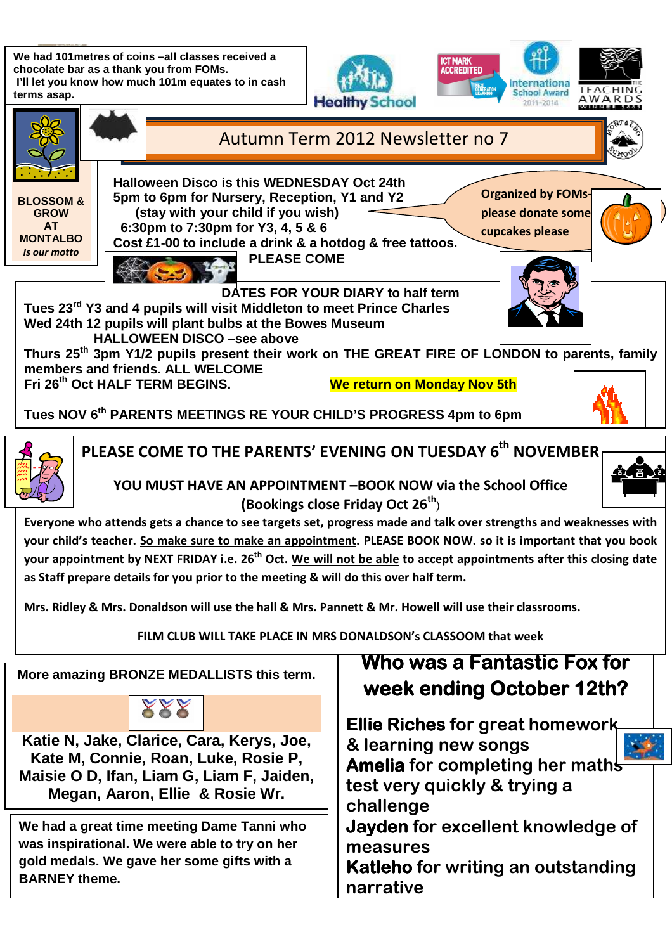**We had 101metres of coins –all classes received a chocolate bar as a thank you from FOMs. I'll let you know how much 101m equates to in cash terms asap.**







**narrative**